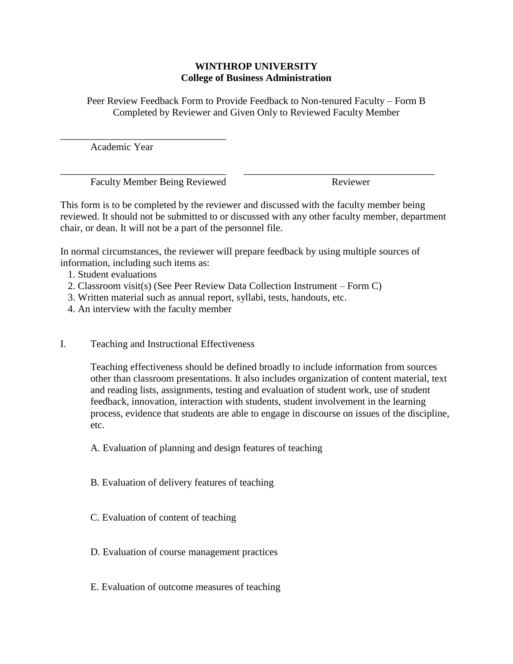## **WINTHROP UNIVERSITY College of Business Administration**

Peer Review Feedback Form to Provide Feedback to Non-tenured Faculty – Form B Completed by Reviewer and Given Only to Reviewed Faculty Member

Academic Year

\_\_\_\_\_\_\_\_\_\_\_\_\_\_\_\_\_\_\_\_\_\_\_\_\_\_\_\_\_\_\_\_\_

\_\_\_\_\_\_\_\_\_\_\_\_\_\_\_\_\_\_\_\_\_\_\_\_\_\_\_\_\_\_\_\_\_ \_\_\_\_\_\_\_\_\_\_\_\_\_\_\_\_\_\_\_\_\_\_\_\_\_\_\_\_\_\_\_\_\_\_\_\_\_\_ Faculty Member Being Reviewed Reviewer

This form is to be completed by the reviewer and discussed with the faculty member being reviewed. It should not be submitted to or discussed with any other faculty member, department chair, or dean. It will not be a part of the personnel file.

In normal circumstances, the reviewer will prepare feedback by using multiple sources of information, including such items as:

- 1. Student evaluations
- 2. Classroom visit(s) (See Peer Review Data Collection Instrument Form C)
- 3. Written material such as annual report, syllabi, tests, handouts, etc.
- 4. An interview with the faculty member
- I. Teaching and Instructional Effectiveness

Teaching effectiveness should be defined broadly to include information from sources other than classroom presentations. It also includes organization of content material, text and reading lists, assignments, testing and evaluation of student work, use of student feedback, innovation, interaction with students, student involvement in the learning process, evidence that students are able to engage in discourse on issues of the discipline, etc.

A. Evaluation of planning and design features of teaching

- B. Evaluation of delivery features of teaching
- C. Evaluation of content of teaching
- D. Evaluation of course management practices
- E. Evaluation of outcome measures of teaching